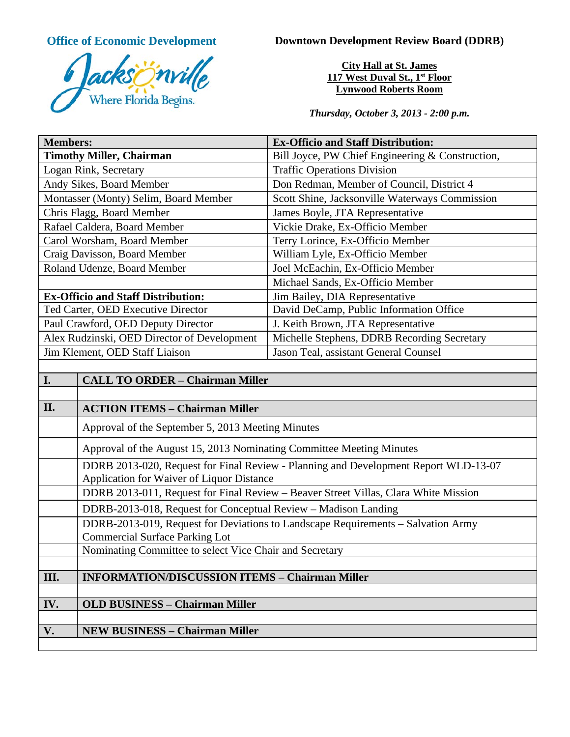

**Office of Economic Development Downtown Development Review Board (DDRB)** 

**City Hall at St. James 117 West Duval St., 1st Floor Lynwood Roberts Room**

*Thursday, October 3, 2013 - 2:00 p.m.*

| <b>Members:</b>                             | <b>Ex-Officio and Staff Distribution:</b>        |
|---------------------------------------------|--------------------------------------------------|
| <b>Timothy Miller, Chairman</b>             | Bill Joyce, PW Chief Engineering & Construction, |
| Logan Rink, Secretary                       | <b>Traffic Operations Division</b>               |
| Andy Sikes, Board Member                    | Don Redman, Member of Council, District 4        |
| Montasser (Monty) Selim, Board Member       | Scott Shine, Jacksonville Waterways Commission   |
| Chris Flagg, Board Member                   | James Boyle, JTA Representative                  |
| Rafael Caldera, Board Member                | Vickie Drake, Ex-Officio Member                  |
| Carol Worsham, Board Member                 | Terry Lorince, Ex-Officio Member                 |
| Craig Davisson, Board Member                | William Lyle, Ex-Officio Member                  |
| Roland Udenze, Board Member                 | Joel McEachin, Ex-Officio Member                 |
|                                             | Michael Sands, Ex-Officio Member                 |
| <b>Ex-Officio and Staff Distribution:</b>   | Jim Bailey, DIA Representative                   |
| Ted Carter, OED Executive Director          | David DeCamp, Public Information Office          |
| Paul Crawford, OED Deputy Director          | J. Keith Brown, JTA Representative               |
| Alex Rudzinski, OED Director of Development | Michelle Stephens, DDRB Recording Secretary      |
| Jim Klement, OED Staff Liaison              | Jason Teal, assistant General Counsel            |
|                                             |                                                  |

| I.   | <b>CALL TO ORDER - Chairman Miller</b>                                                                                           |
|------|----------------------------------------------------------------------------------------------------------------------------------|
|      |                                                                                                                                  |
| II.  | <b>ACTION ITEMS - Chairman Miller</b>                                                                                            |
|      | Approval of the September 5, 2013 Meeting Minutes                                                                                |
|      | Approval of the August 15, 2013 Nominating Committee Meeting Minutes                                                             |
|      | DDRB 2013-020, Request for Final Review - Planning and Development Report WLD-13-07<br>Application for Waiver of Liquor Distance |
|      | DDRB 2013-011, Request for Final Review – Beaver Street Villas, Clara White Mission                                              |
|      | DDRB-2013-018, Request for Conceptual Review - Madison Landing                                                                   |
|      | DDRB-2013-019, Request for Deviations to Landscape Requirements – Salvation Army<br><b>Commercial Surface Parking Lot</b>        |
|      | Nominating Committee to select Vice Chair and Secretary                                                                          |
|      |                                                                                                                                  |
| III. | <b>INFORMATION/DISCUSSION ITEMS - Chairman Miller</b>                                                                            |
|      |                                                                                                                                  |
| IV.  | <b>OLD BUSINESS - Chairman Miller</b>                                                                                            |
|      |                                                                                                                                  |
| V.   | <b>NEW BUSINESS - Chairman Miller</b>                                                                                            |
|      |                                                                                                                                  |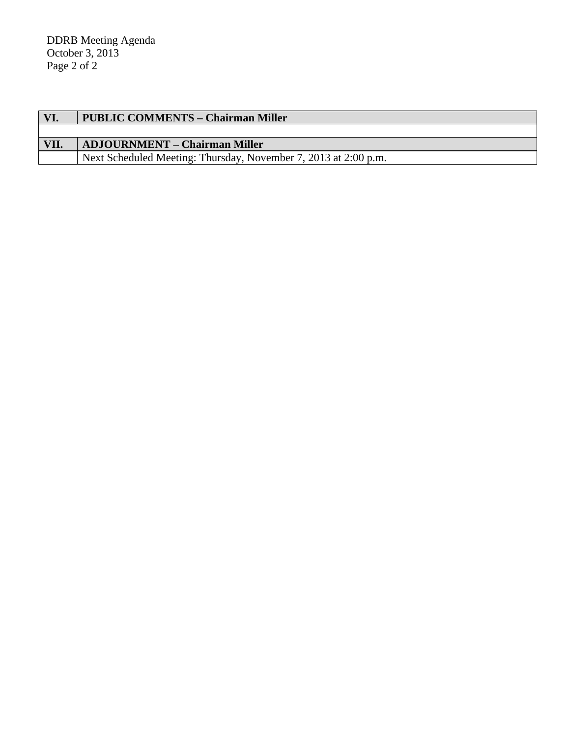| VI.  | <b>PUBLIC COMMENTS – Chairman Miller</b>                        |
|------|-----------------------------------------------------------------|
|      |                                                                 |
| VII. | <b>ADJOURNMENT – Chairman Miller</b>                            |
|      | Next Scheduled Meeting: Thursday, November 7, 2013 at 2:00 p.m. |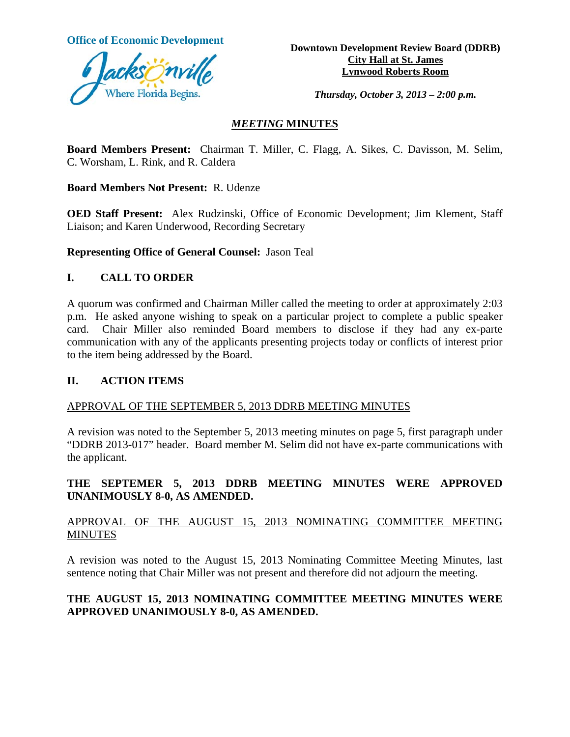

**Office of Economic Development Downtown Development Review Board (DDRB) City Hall at St. James Lynwood Roberts Room** 

*Thursday, October 3, 2013 – 2:00 p.m.* 

## *MEETING* **MINUTES**

**Board Members Present:** Chairman T. Miller, C. Flagg, A. Sikes, C. Davisson, M. Selim, C. Worsham, L. Rink, and R. Caldera

**Board Members Not Present:** R. Udenze

**OED Staff Present:** Alex Rudzinski, Office of Economic Development; Jim Klement, Staff Liaison; and Karen Underwood, Recording Secretary

**Representing Office of General Counsel:** Jason Teal

## **I. CALL TO ORDER**

A quorum was confirmed and Chairman Miller called the meeting to order at approximately 2:03 p.m. He asked anyone wishing to speak on a particular project to complete a public speaker card. Chair Miller also reminded Board members to disclose if they had any ex-parte communication with any of the applicants presenting projects today or conflicts of interest prior to the item being addressed by the Board.

#### **II. ACTION ITEMS**

#### APPROVAL OF THE SEPTEMBER 5, 2013 DDRB MEETING MINUTES

A revision was noted to the September 5, 2013 meeting minutes on page 5, first paragraph under "DDRB 2013-017" header. Board member M. Selim did not have ex-parte communications with the applicant.

# **THE SEPTEMER 5, 2013 DDRB MEETING MINUTES WERE APPROVED UNANIMOUSLY 8-0, AS AMENDED.**

## APPROVAL OF THE AUGUST 15, 2013 NOMINATING COMMITTEE MEETING MINUTES

A revision was noted to the August 15, 2013 Nominating Committee Meeting Minutes, last sentence noting that Chair Miller was not present and therefore did not adjourn the meeting.

# **THE AUGUST 15, 2013 NOMINATING COMMITTEE MEETING MINUTES WERE APPROVED UNANIMOUSLY 8-0, AS AMENDED.**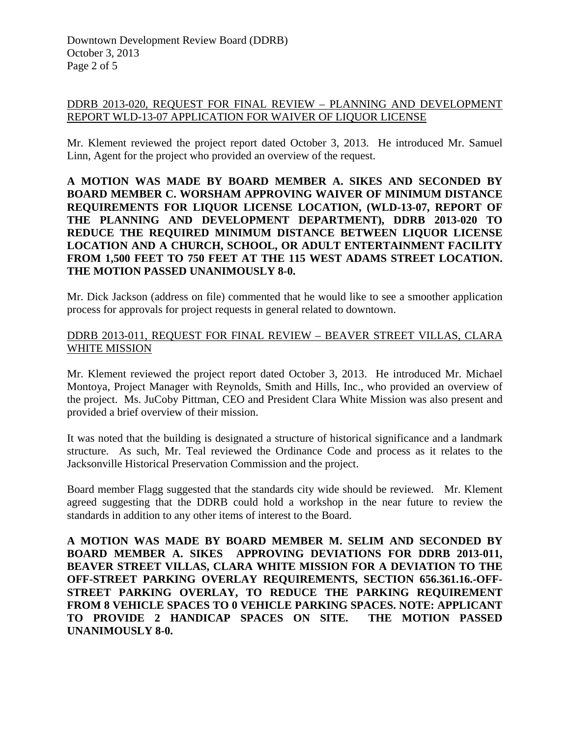### DDRB 2013-020, REQUEST FOR FINAL REVIEW – PLANNING AND DEVELOPMENT REPORT WLD-13-07 APPLICATION FOR WAIVER OF LIQUOR LICENSE

Mr. Klement reviewed the project report dated October 3, 2013. He introduced Mr. Samuel Linn, Agent for the project who provided an overview of the request.

**A MOTION WAS MADE BY BOARD MEMBER A. SIKES AND SECONDED BY BOARD MEMBER C. WORSHAM APPROVING WAIVER OF MINIMUM DISTANCE REQUIREMENTS FOR LIQUOR LICENSE LOCATION, (WLD-13-07, REPORT OF THE PLANNING AND DEVELOPMENT DEPARTMENT), DDRB 2013-020 TO REDUCE THE REQUIRED MINIMUM DISTANCE BETWEEN LIQUOR LICENSE LOCATION AND A CHURCH, SCHOOL, OR ADULT ENTERTAINMENT FACILITY FROM 1,500 FEET TO 750 FEET AT THE 115 WEST ADAMS STREET LOCATION. THE MOTION PASSED UNANIMOUSLY 8-0.** 

Mr. Dick Jackson (address on file) commented that he would like to see a smoother application process for approvals for project requests in general related to downtown.

## DDRB 2013-011, REQUEST FOR FINAL REVIEW – BEAVER STREET VILLAS, CLARA WHITE MISSION

Mr. Klement reviewed the project report dated October 3, 2013. He introduced Mr. Michael Montoya, Project Manager with Reynolds, Smith and Hills, Inc., who provided an overview of the project. Ms. JuCoby Pittman, CEO and President Clara White Mission was also present and provided a brief overview of their mission.

It was noted that the building is designated a structure of historical significance and a landmark structure. As such, Mr. Teal reviewed the Ordinance Code and process as it relates to the Jacksonville Historical Preservation Commission and the project.

Board member Flagg suggested that the standards city wide should be reviewed. Mr. Klement agreed suggesting that the DDRB could hold a workshop in the near future to review the standards in addition to any other items of interest to the Board.

**A MOTION WAS MADE BY BOARD MEMBER M. SELIM AND SECONDED BY BOARD MEMBER A. SIKES APPROVING DEVIATIONS FOR DDRB 2013-011, BEAVER STREET VILLAS, CLARA WHITE MISSION FOR A DEVIATION TO THE OFF-STREET PARKING OVERLAY REQUIREMENTS, SECTION 656.361.16.-OFF-STREET PARKING OVERLAY, TO REDUCE THE PARKING REQUIREMENT FROM 8 VEHICLE SPACES TO 0 VEHICLE PARKING SPACES. NOTE: APPLICANT TO PROVIDE 2 HANDICAP SPACES ON SITE. THE MOTION PASSED UNANIMOUSLY 8-0.**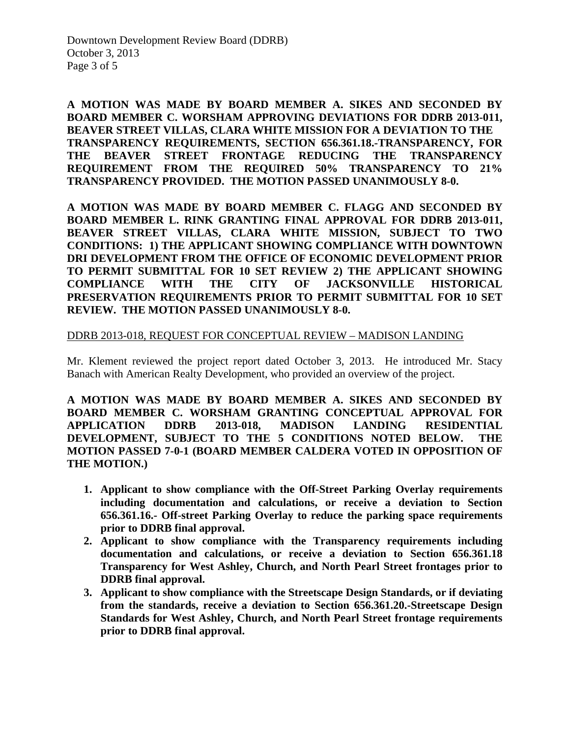**A MOTION WAS MADE BY BOARD MEMBER A. SIKES AND SECONDED BY BOARD MEMBER C. WORSHAM APPROVING DEVIATIONS FOR DDRB 2013-011, BEAVER STREET VILLAS, CLARA WHITE MISSION FOR A DEVIATION TO THE TRANSPARENCY REQUIREMENTS, SECTION 656.361.18.-TRANSPARENCY, FOR THE BEAVER STREET FRONTAGE REDUCING THE TRANSPARENCY REQUIREMENT FROM THE REQUIRED 50% TRANSPARENCY TO 21% TRANSPARENCY PROVIDED. THE MOTION PASSED UNANIMOUSLY 8-0.** 

**A MOTION WAS MADE BY BOARD MEMBER C. FLAGG AND SECONDED BY BOARD MEMBER L. RINK GRANTING FINAL APPROVAL FOR DDRB 2013-011, BEAVER STREET VILLAS, CLARA WHITE MISSION, SUBJECT TO TWO CONDITIONS: 1) THE APPLICANT SHOWING COMPLIANCE WITH DOWNTOWN DRI DEVELOPMENT FROM THE OFFICE OF ECONOMIC DEVELOPMENT PRIOR TO PERMIT SUBMITTAL FOR 10 SET REVIEW 2) THE APPLICANT SHOWING COMPLIANCE WITH THE CITY OF JACKSONVILLE HISTORICAL PRESERVATION REQUIREMENTS PRIOR TO PERMIT SUBMITTAL FOR 10 SET REVIEW. THE MOTION PASSED UNANIMOUSLY 8-0.** 

#### DDRB 2013-018, REQUEST FOR CONCEPTUAL REVIEW – MADISON LANDING

Mr. Klement reviewed the project report dated October 3, 2013. He introduced Mr. Stacy Banach with American Realty Development, who provided an overview of the project.

**A MOTION WAS MADE BY BOARD MEMBER A. SIKES AND SECONDED BY BOARD MEMBER C. WORSHAM GRANTING CONCEPTUAL APPROVAL FOR APPLICATION DDRB 2013-018, MADISON LANDING RESIDENTIAL DEVELOPMENT, SUBJECT TO THE 5 CONDITIONS NOTED BELOW. THE MOTION PASSED 7-0-1 (BOARD MEMBER CALDERA VOTED IN OPPOSITION OF THE MOTION.)** 

- **1. Applicant to show compliance with the Off-Street Parking Overlay requirements including documentation and calculations, or receive a deviation to Section 656.361.16.- Off-street Parking Overlay to reduce the parking space requirements prior to DDRB final approval.**
- **2. Applicant to show compliance with the Transparency requirements including documentation and calculations, or receive a deviation to Section 656.361.18 Transparency for West Ashley, Church, and North Pearl Street frontages prior to DDRB final approval.**
- **3. Applicant to show compliance with the Streetscape Design Standards, or if deviating from the standards, receive a deviation to Section 656.361.20.-Streetscape Design Standards for West Ashley, Church, and North Pearl Street frontage requirements prior to DDRB final approval.**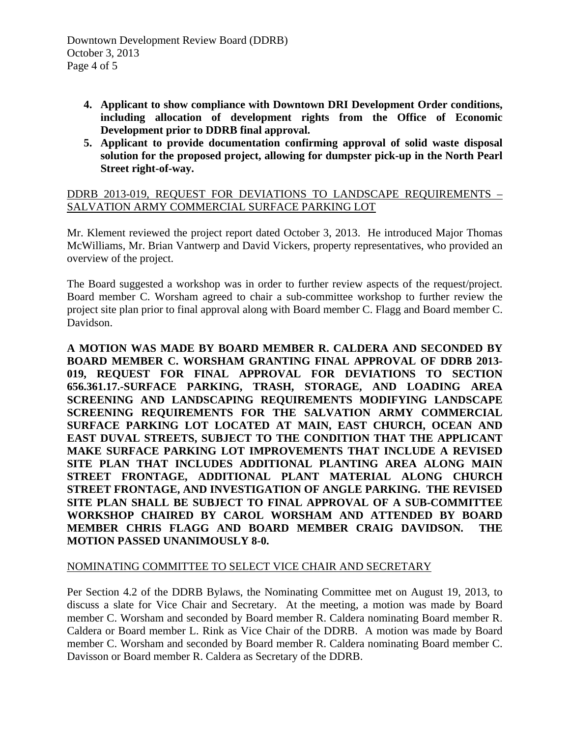- **4. Applicant to show compliance with Downtown DRI Development Order conditions, including allocation of development rights from the Office of Economic Development prior to DDRB final approval.**
- **5. Applicant to provide documentation confirming approval of solid waste disposal solution for the proposed project, allowing for dumpster pick-up in the North Pearl Street right-of-way.**

## DDRB 2013-019, REQUEST FOR DEVIATIONS TO LANDSCAPE REQUIREMENTS – SALVATION ARMY COMMERCIAL SURFACE PARKING LOT

Mr. Klement reviewed the project report dated October 3, 2013. He introduced Major Thomas McWilliams, Mr. Brian Vantwerp and David Vickers, property representatives, who provided an overview of the project.

The Board suggested a workshop was in order to further review aspects of the request/project. Board member C. Worsham agreed to chair a sub-committee workshop to further review the project site plan prior to final approval along with Board member C. Flagg and Board member C. Davidson.

**A MOTION WAS MADE BY BOARD MEMBER R. CALDERA AND SECONDED BY BOARD MEMBER C. WORSHAM GRANTING FINAL APPROVAL OF DDRB 2013- 019, REQUEST FOR FINAL APPROVAL FOR DEVIATIONS TO SECTION 656.361.17.-SURFACE PARKING, TRASH, STORAGE, AND LOADING AREA SCREENING AND LANDSCAPING REQUIREMENTS MODIFYING LANDSCAPE SCREENING REQUIREMENTS FOR THE SALVATION ARMY COMMERCIAL SURFACE PARKING LOT LOCATED AT MAIN, EAST CHURCH, OCEAN AND EAST DUVAL STREETS, SUBJECT TO THE CONDITION THAT THE APPLICANT MAKE SURFACE PARKING LOT IMPROVEMENTS THAT INCLUDE A REVISED SITE PLAN THAT INCLUDES ADDITIONAL PLANTING AREA ALONG MAIN STREET FRONTAGE, ADDITIONAL PLANT MATERIAL ALONG CHURCH STREET FRONTAGE, AND INVESTIGATION OF ANGLE PARKING. THE REVISED SITE PLAN SHALL BE SUBJECT TO FINAL APPROVAL OF A SUB-COMMITTEE WORKSHOP CHAIRED BY CAROL WORSHAM AND ATTENDED BY BOARD MEMBER CHRIS FLAGG AND BOARD MEMBER CRAIG DAVIDSON. THE MOTION PASSED UNANIMOUSLY 8-0.** 

# NOMINATING COMMITTEE TO SELECT VICE CHAIR AND SECRETARY

Per Section 4.2 of the DDRB Bylaws, the Nominating Committee met on August 19, 2013, to discuss a slate for Vice Chair and Secretary. At the meeting, a motion was made by Board member C. Worsham and seconded by Board member R. Caldera nominating Board member R. Caldera or Board member L. Rink as Vice Chair of the DDRB. A motion was made by Board member C. Worsham and seconded by Board member R. Caldera nominating Board member C. Davisson or Board member R. Caldera as Secretary of the DDRB.